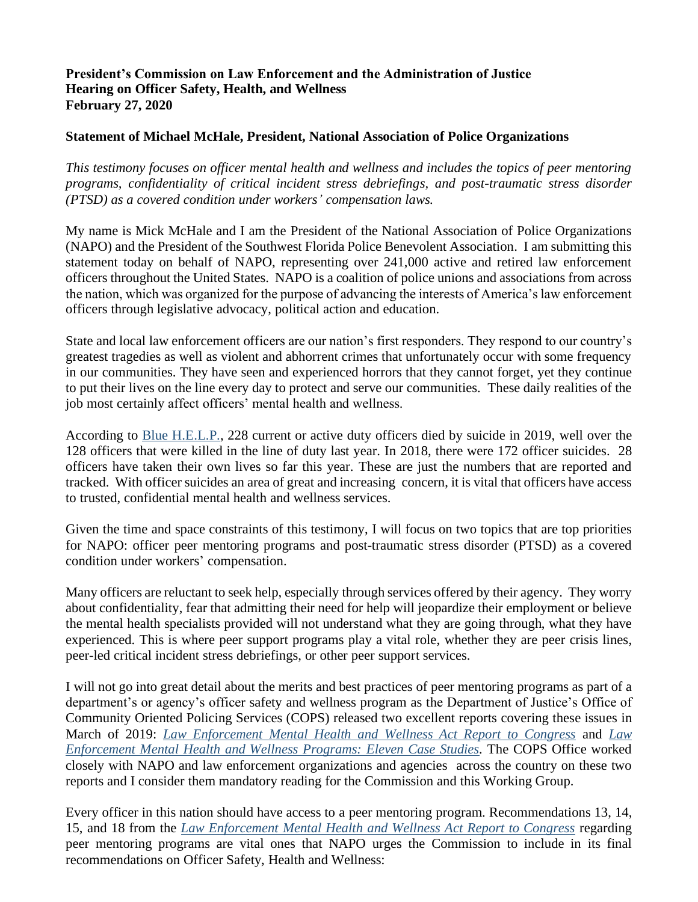## **President's Commission on Law Enforcement and the Administration of Justice Hearing on Officer Safety, Health, and Wellness February 27, 2020**

## **Statement of Michael McHale, President, National Association of Police Organizations**

*This testimony focuses on officer mental health and wellness and includes the topics of peer mentoring programs, confidentiality of critical incident stress debriefings, and post-traumatic stress disorder (PTSD) as a covered condition under workers' compensation laws.* 

My name is Mick McHale and I am the President of the National Association of Police Organizations (NAPO) and the President of the Southwest Florida Police Benevolent Association. I am submitting this statement today on behalf of NAPO, representing over 241,000 active and retired law enforcement officers throughout the United States. NAPO is a coalition of police unions and associations from across the nation, which was organized for the purpose of advancing the interests of America's law enforcement officers through legislative advocacy, political action and education.

State and local law enforcement officers are our nation's first responders. They respond to our country's greatest tragedies as well as violent and abhorrent crimes that unfortunately occur with some frequency in our communities. They have seen and experienced horrors that they cannot forget, yet they continue to put their lives on the line every day to protect and serve our communities. These daily realities of the job most certainly affect officers' mental health and wellness.

According to [Blue H.E.L.P.,](https://bluehelp.org/) 228 current or active duty officers died by suicide in 2019, well over the 128 officers that were killed in the line of duty last year. In 2018, there were 172 officer suicides. 28 officers have taken their own lives so far this year. These are just the numbers that are reported and tracked. With officer suicides an area of great and increasing concern, it is vital that officers have access to trusted, confidential mental health and wellness services.

Given the time and space constraints of this testimony, I will focus on two topics that are top priorities for NAPO: officer peer mentoring programs and post-traumatic stress disorder (PTSD) as a covered condition under workers' compensation.

Many officers are reluctant to seek help, especially through services offered by their agency. They worry about confidentiality, fear that admitting their need for help will jeopardize their employment or believe the mental health specialists provided will not understand what they are going through, what they have experienced. This is where peer support programs play a vital role, whether they are peer crisis lines, peer-led critical incident stress debriefings, or other peer support services.

I will not go into great detail about the merits and best practices of peer mentoring programs as part of a department's or agency's officer safety and wellness program as the Department of Justice's Office of Community Oriented Policing Services (COPS) released two excellent reports covering these issues in March of 2019: *[Law Enforcement Mental Health and Wellness Act Report to Congress](https://cops.usdoj.gov/RIC/Publications/cops-p370-pub.pdf)* and *[Law](https://cops.usdoj.gov/RIC/Publications/cops-p371-pub.pdf)  [Enforcement Mental Health and Wellness Programs: Eleven Case Studies.](https://cops.usdoj.gov/RIC/Publications/cops-p371-pub.pdf)* The COPS Office worked closely with NAPO and law enforcement organizations and agencies across the country on these two reports and I consider them mandatory reading for the Commission and this Working Group.

Every officer in this nation should have access to a peer mentoring program. Recommendations 13, 14, 15, and 18 from the *[Law Enforcement Mental Health and Wellness Act Report to Congress](https://cops.usdoj.gov/RIC/Publications/cops-p370-pub.pdf)* regarding peer mentoring programs are vital ones that NAPO urges the Commission to include in its final recommendations on Officer Safety, Health and Wellness: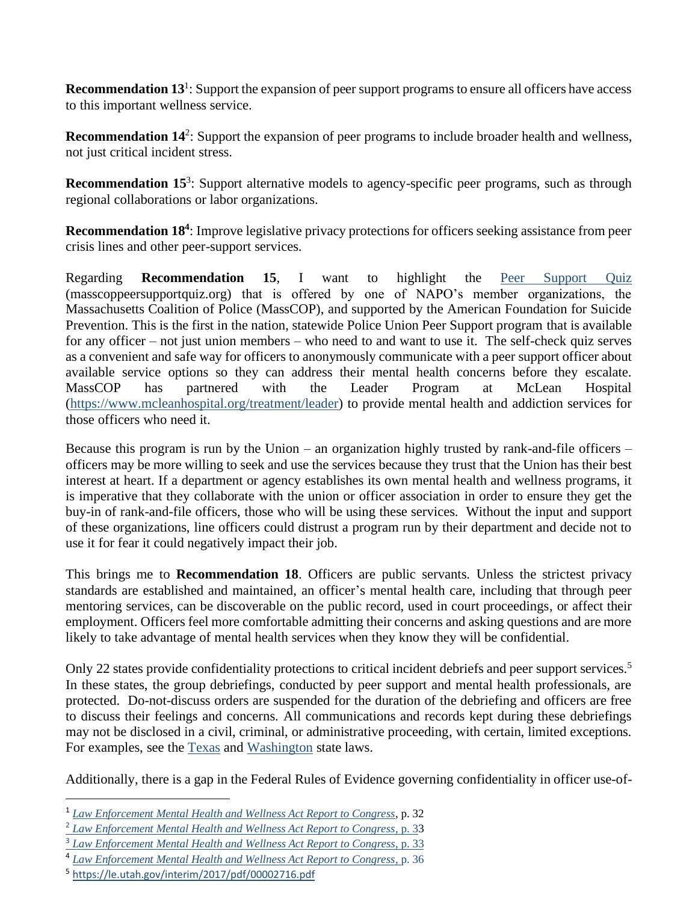**Recommendation 13<sup>1</sup>:** Support the expansion of peer support programs to ensure all officers have access to this important wellness service.

**Recommendation 14<sup>2</sup>:** Support the expansion of peer programs to include broader health and wellness, not just critical incident stress.

**Recommendation 15<sup>3</sup>:** Support alternative models to agency-specific peer programs, such as through regional collaborations or labor organizations.

**Recommendation 18<sup>4</sup>** : Improve legislative privacy protections for officers seeking assistance from peer crisis lines and other peer-support services.

Regarding **Recommendation 15**, I want to highlight the [Peer Support Quiz](https://www.masscop.org/index.php/home/peer-support) (masscoppeersupportquiz.org) that is offered by one of NAPO's member organizations, the Massachusetts Coalition of Police (MassCOP), and supported by the American Foundation for Suicide Prevention. This is the first in the nation, statewide Police Union Peer Support program that is available for any officer – not just union members – who need to and want to use it. The self-check quiz serves as a convenient and safe way for officers to anonymously communicate with a peer support officer about available service options so they can address their mental health concerns before they escalate. MassCOP has partnered with the Leader Program at McLean Hospital [\(https://www.mcleanhospital.org/treatment/leader\)](https://www.mcleanhospital.org/treatment/leader) to provide mental health and addiction services for those officers who need it.

Because this program is run by the Union – an organization highly trusted by rank-and-file officers – officers may be more willing to seek and use the services because they trust that the Union has their best interest at heart. If a department or agency establishes its own mental health and wellness programs, it is imperative that they collaborate with the union or officer association in order to ensure they get the buy-in of rank-and-file officers, those who will be using these services. Without the input and support of these organizations, line officers could distrust a program run by their department and decide not to use it for fear it could negatively impact their job.

This brings me to **Recommendation 18**. Officers are public servants. Unless the strictest privacy standards are established and maintained, an officer's mental health care, including that through peer mentoring services, can be discoverable on the public record, used in court proceedings, or affect their employment. Officers feel more comfortable admitting their concerns and asking questions and are more likely to take advantage of mental health services when they know they will be confidential.

Only 22 states provide confidentiality protections to critical incident debriefs and peer support services.<sup>5</sup> In these states, the group debriefings, conducted by peer support and mental health professionals, are protected. Do-not-discuss orders are suspended for the duration of the debriefing and officers are free to discuss their feelings and concerns. All communications and records kept during these debriefings may not be disclosed in a civil, criminal, or administrative proceeding, with certain, limited exceptions. For examples, see the [Texas](https://statutes.capitol.texas.gov/Docs/HS/htm/HS.784.htm) and [Washington](https://app.leg.wa.gov/rcw/default.aspx?cite=43.101.425) state laws.

Additionally, there is a gap in the Federal Rules of Evidence governing confidentiality in officer use-of-

<sup>1</sup> *[Law Enforcement Mental Health and Wellness Act Report to Congress](https://cops.usdoj.gov/RIC/Publications/cops-p370-pub.pdf)*, p. 32

<sup>2</sup> *[Law Enforcement Mental Health and Wellness Act Report to Congress](https://cops.usdoj.gov/RIC/Publications/cops-p370-pub.pdf)*, p. 33

<sup>3</sup> *[Law Enforcement Mental Health and](https://cops.usdoj.gov/RIC/Publications/cops-p370-pub.pdf) Wellness Act Report to Congress*, p. 33

<sup>4</sup> *[Law Enforcement Mental Health and Wellness Act Report to Congress,](https://cops.usdoj.gov/RIC/Publications/cops-p370-pub.pdf)* p. 36

<sup>5</sup> <https://le.utah.gov/interim/2017/pdf/00002716.pdf>